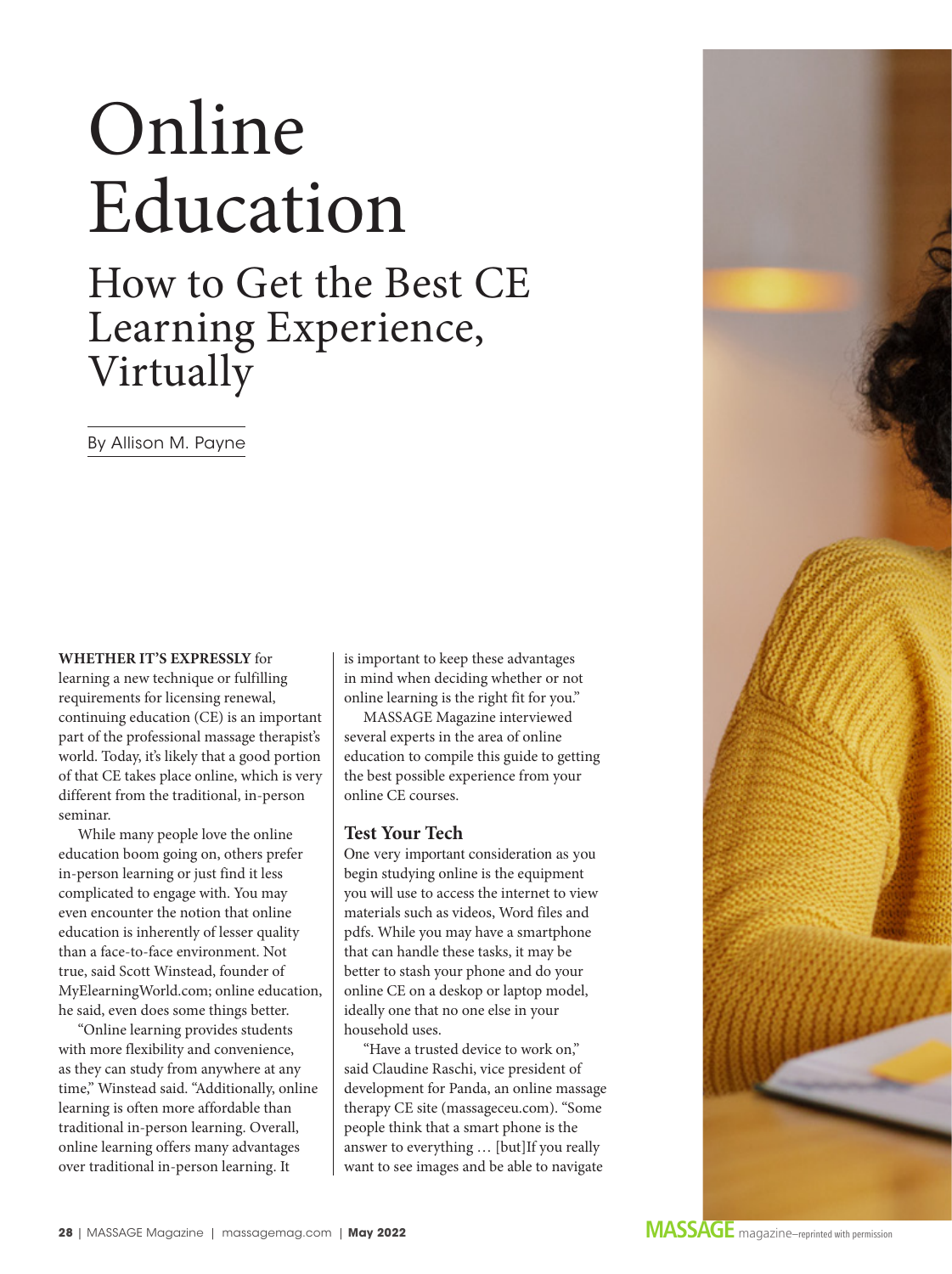# Online Education

# How to Get the Best CE Learning Experience, Virtually

By Allison M. Payne

#### **WHETHER IT'S EXPRESSLY** for

learning a new technique or fulfilling requirements for licensing renewal, continuing education (CE) is an important part of the professional massage therapist's world. Today, it's likely that a good portion of that CE takes place online, which is very different from the traditional, in-person seminar.

While many people love the online education boom going on, others prefer in-person learning or just find it less complicated to engage with. You may even encounter the notion that online education is inherently of lesser quality than a face-to-face environment. Not true, said Scott Winstead, founder of MyElearningWorld.com; online education, he said, even does some things better.

"Online learning provides students with more flexibility and convenience, as they can study from anywhere at any time," Winstead said. "Additionally, online learning is often more affordable than traditional in-person learning. Overall, online learning offers many advantages over traditional in-person learning. It

is important to keep these advantages in mind when deciding whether or not online learning is the right fit for you."

MASSAGE Magazine interviewed several experts in the area of online education to compile this guide to getting the best possible experience from your online CE courses.

#### **Test Your Tech**

One very important consideration as you begin studying online is the equipment you will use to access the internet to view materials such as videos, Word files and pdfs. While you may have a smartphone that can handle these tasks, it may be better to stash your phone and do your online CE on a deskop or laptop model, ideally one that no one else in your household uses.

"Have a trusted device to work on," said Claudine Raschi, vice president of development for Panda, an online massage therapy CE site (massageceu.com). "Some people think that a smart phone is the answer to everything … [but]If you really want to see images and be able to navigate

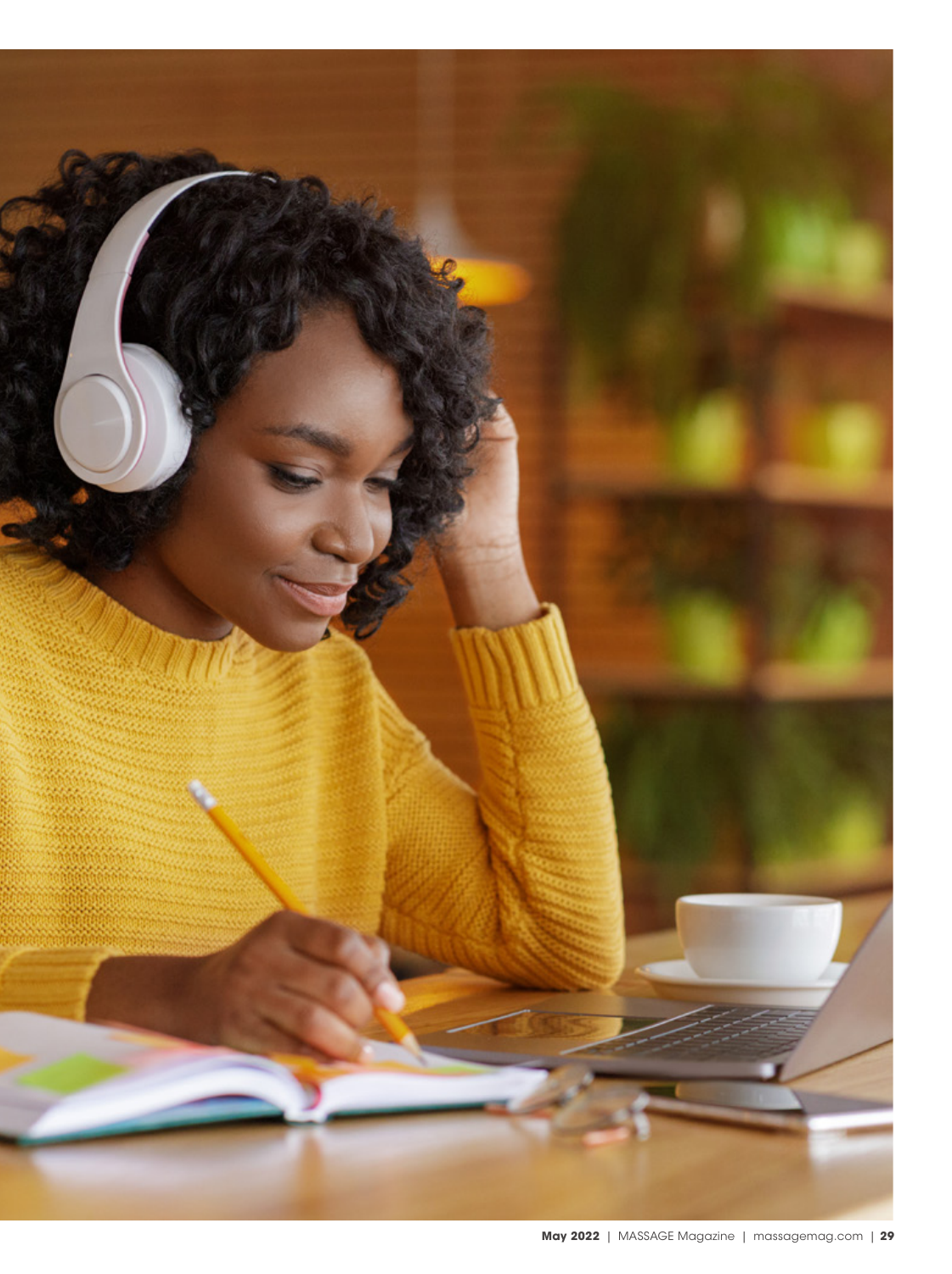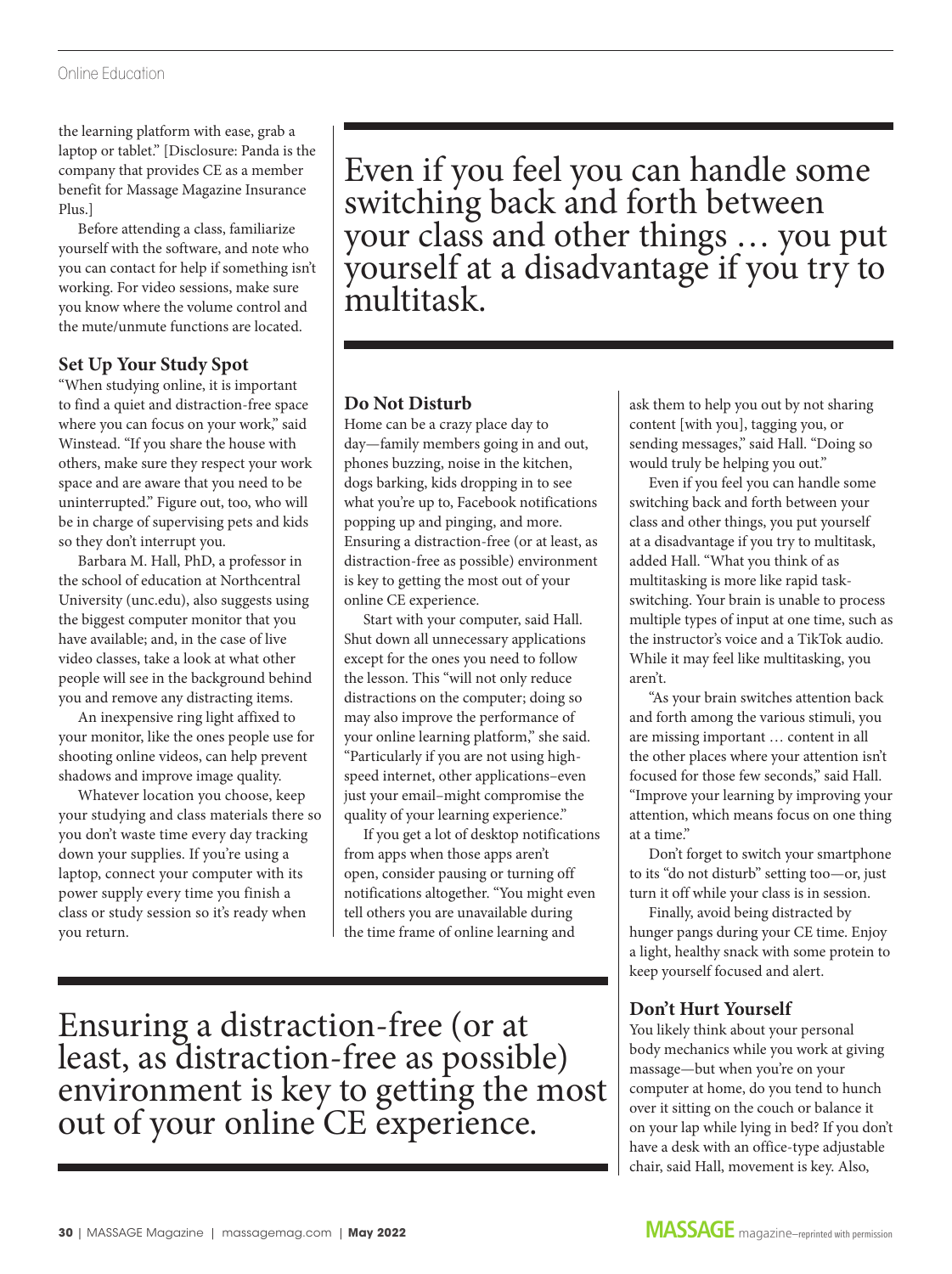#### Online Education

the learning platform with ease, grab a laptop or tablet." [Disclosure: Panda is the company that provides CE as a member benefit for Massage Magazine Insurance Plus.]

Before attending a class, familiarize yourself with the software, and note who you can contact for help if something isn't working. For video sessions, make sure you know where the volume control and the mute/unmute functions are located.

# **Set Up Your Study Spot**

"When studying online, it is important to find a quiet and distraction-free space where you can focus on your work," said Winstead. "If you share the house with others, make sure they respect your work space and are aware that you need to be uninterrupted." Figure out, too, who will be in charge of supervising pets and kids so they don't interrupt you.

Barbara M. Hall, PhD, a professor in the school of education at Northcentral University (unc.edu), also suggests using the biggest computer monitor that you have available; and, in the case of live video classes, take a look at what other people will see in the background behind you and remove any distracting items.

An inexpensive ring light affixed to your monitor, like the ones people use for shooting online videos, can help prevent shadows and improve image quality.

Whatever location you choose, keep your studying and class materials there so you don't waste time every day tracking down your supplies. If you're using a laptop, connect your computer with its power supply every time you finish a class or study session so it's ready when you return.

Even if you feel you can handle some switching back and forth between your class and other things … you put yourself at a disadvantage if you try to multitask.

# **Do Not Disturb**

Home can be a crazy place day to day—family members going in and out, phones buzzing, noise in the kitchen, dogs barking, kids dropping in to see what you're up to, Facebook notifications popping up and pinging, and more. Ensuring a distraction-free (or at least, as distraction-free as possible) environment is key to getting the most out of your online CE experience.

Start with your computer, said Hall. Shut down all unnecessary applications except for the ones you need to follow the lesson. This "will not only reduce distractions on the computer; doing so may also improve the performance of your online learning platform," she said. "Particularly if you are not using highspeed internet, other applications–even just your email–might compromise the quality of your learning experience."

If you get a lot of desktop notifications from apps when those apps aren't open, consider pausing or turning off notifications altogether. "You might even tell others you are unavailable during the time frame of online learning and

Ensuring a distraction-free (or at least, as distraction-free as possible) environment is key to getting the most out of your online CE experience.

ask them to help you out by not sharing content [with you], tagging you, or sending messages," said Hall. "Doing so would truly be helping you out."

Even if you feel you can handle some switching back and forth between your class and other things, you put yourself at a disadvantage if you try to multitask, added Hall. "What you think of as multitasking is more like rapid taskswitching. Your brain is unable to process multiple types of input at one time, such as the instructor's voice and a TikTok audio. While it may feel like multitasking, you aren't.

"As your brain switches attention back and forth among the various stimuli, you are missing important … content in all the other places where your attention isn't focused for those few seconds," said Hall. "Improve your learning by improving your attention, which means focus on one thing at a time."

Don't forget to switch your smartphone to its "do not disturb" setting too—or, just turn it off while your class is in session.

Finally, avoid being distracted by hunger pangs during your CE time. Enjoy a light, healthy snack with some protein to keep yourself focused and alert.

### **Don't Hurt Yourself**

You likely think about your personal body mechanics while you work at giving massage—but when you're on your computer at home, do you tend to hunch over it sitting on the couch or balance it on your lap while lying in bed? If you don't have a desk with an office-type adjustable chair, said Hall, movement is key. Also,